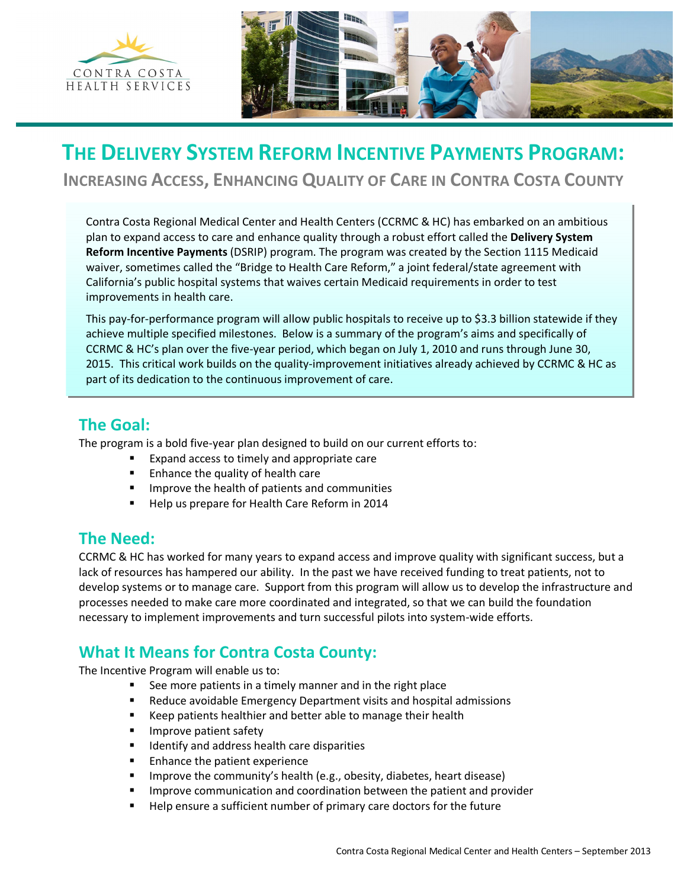



# **THE DELIVERY SYSTEM REFORM INCENTIVE PAYMENTS PROGRAM:**

**INCREASING ACCESS, ENHANCING QUALITY OF CARE IN CONTRA COSTA COUNTY**

Contra Costa Regional Medical Center and Health Centers (CCRMC & HC) has embarked on an ambitious plan to expand access to care and enhance quality through a robust effort called the **Delivery System Reform Incentive Payments** (DSRIP) program. The program was created by the Section 1115 Medicaid waiver, sometimes called the "Bridge to Health Care Reform," a joint federal/state agreement with California's public hospital systems that waives certain Medicaid requirements in order to test improvements in health care.

This pay-for-performance program will allow public hospitals to receive up to \$3.3 billion statewide if they achieve multiple specified milestones. Below is a summary of the program's aims and specifically of CCRMC & HC's plan over the five-year period, which began on July 1, 2010 and runs through June 30, 2015. This critical work builds on the quality-improvement initiatives already achieved by CCRMC & HC as part of its dedication to the continuous improvement of care.

### **The Goal:**

The program is a bold five-year plan designed to build on our current efforts to:

- ß Expand access to timely and appropriate care
- **Enhance the quality of health care**
- ß Improve the health of patients and communities
- ß Help us prepare for Health Care Reform in 2014

## **The Need:**

CCRMC & HC has worked for many years to expand access and improve quality with significant success, but a lack of resources has hampered our ability. In the past we have received funding to treat patients, not to develop systems or to manage care. Support from this program will allow us to develop the infrastructure and processes needed to make care more coordinated and integrated, so that we can build the foundation necessary to implement improvements and turn successful pilots into system-wide efforts.

# **What It Means for Contra Costa County:**

The Incentive Program will enable us to:

- See more patients in a timely manner and in the right place
- ß Reduce avoidable Emergency Department visits and hospital admissions
- ß Keep patients healthier and better able to manage their health
- **IMPROVE patient safety**
- ß Identify and address health care disparities
- ß Enhance the patient experience
- ß Improve the community's health (e.g., obesity, diabetes, heart disease)
- ß Improve communication and coordination between the patient and provider
- ß Help ensure a sufficient number of primary care doctors for the future